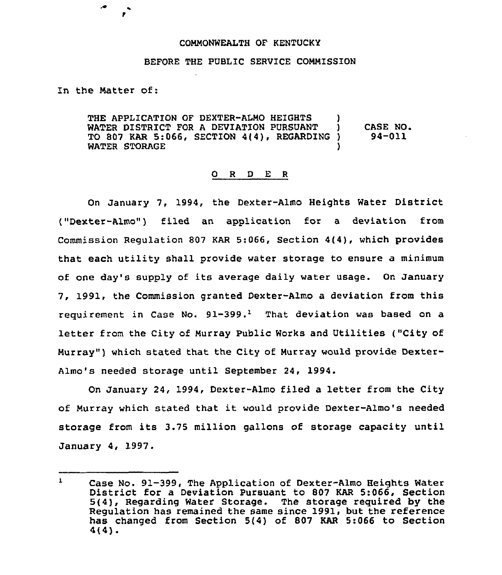## COMMONWEALTH OF KENTUCKY

## BEFORE THE PUBLIC SERVICE COMMISSION

In the Matter of:

4

THE APPLICATION OF DEXTER-ALMO HEIGHTS WATER DISTRICT FOR A DEVIATION PURSUANT )<br>TO 807 KAR 5:066, SECTION 4/4), REGARDING ) TO 807 KAR 5:066, SECTION 4(4), REGARDING WATER STORAGE CASE NO. 94-011

## 0 <sup>R</sup> <sup>D</sup> E <sup>R</sup>

On January 7, 1994, the Dexter-Almo Heights Water District ("Dexter-Almo") filed an application for a deviation from Commission Regulation 807 KAR 5:066, Section 4(4), which provides that each utility shall provide water storage to ensure a minimum of one day's supply of its average daily water usage. On January 7, 1991, the Commission granted Dexter-Almo a deviation from this requirement in Case No.  $91-399$ .<sup>1</sup> That deviation was based on a letter from the City of Murray Public Works and Utilities ("City of Murray"} which stated that the City of Murray would provide Dexter-Almo's needed storage until September 24, 1994.

On January 24, 1994, Dexter-Almo filed a letter from the City of Murray which stated that it would provide Dexter-Almo's needed storage from its 3.75 million gallons of storage capacity until January 4, 1997.

 $\mathbf{1}$ Case No. 91-399, The Application of Dexter-Almo Heights Water District for a Deviation Pursuant to 807 KAR 5:066, Section 5(4), Regarding Water Storage. The storage required by the Regulation has remained the same since 1991, but the reference has changed from Section 5(4) of 807 KAR 5:066 to Section 4(4),